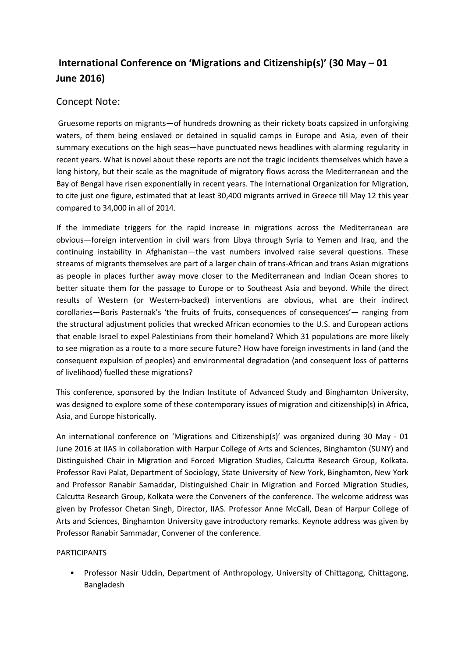## **International Conference on 'Migrations and Citizenship(s)' (30 May – 01 June 2016)**

## Concept Note:

Gruesome reports on migrants—of hundreds drowning as their rickety boats capsized in unforgiving waters, of them being enslaved or detained in squalid camps in Europe and Asia, even of their summary executions on the high seas—have punctuated news headlines with alarming regularity in recent years. What is novel about these reports are not the tragic incidents themselves which have a long history, but their scale as the magnitude of migratory flows across the Mediterranean and the Bay of Bengal have risen exponentially in recent years. The International Organization for Migration, to cite just one figure, estimated that at least 30,400 migrants arrived in Greece till May 12 this year compared to 34,000 in all of 2014.

If the immediate triggers for the rapid increase in migrations across the Mediterranean are obvious—foreign intervention in civil wars from Libya through Syria to Yemen and Iraq, and the continuing instability in Afghanistan—the vast numbers involved raise several questions. These streams of migrants themselves are part of a larger chain of trans-African and trans Asian migrations as people in places further away move closer to the Mediterranean and Indian Ocean shores to better situate them for the passage to Europe or to Southeast Asia and beyond. While the direct results of Western (or Western-backed) interventions are obvious, what are their indirect corollaries—Boris Pasternak's 'the fruits of fruits, consequences of consequences'— ranging from the structural adjustment policies that wrecked African economies to the U.S. and European actions that enable Israel to expel Palestinians from their homeland? Which 31 populations are more likely to see migration as a route to a more secure future? How have foreign investments in land (and the consequent expulsion of peoples) and environmental degradation (and consequent loss of patterns of livelihood) fuelled these migrations?

This conference, sponsored by the Indian Institute of Advanced Study and Binghamton University, was designed to explore some of these contemporary issues of migration and citizenship(s) in Africa, Asia, and Europe historically.

An international conference on 'Migrations and Citizenship(s)' was organized during 30 May - 01 June 2016 at IIAS in collaboration with Harpur College of Arts and Sciences, Binghamton (SUNY) and Distinguished Chair in Migration and Forced Migration Studies, Calcutta Research Group, Kolkata. Professor Ravi Palat, Department of Sociology, State University of New York, Binghamton, New York and Professor Ranabir Samaddar, Distinguished Chair in Migration and Forced Migration Studies, Calcutta Research Group, Kolkata were the Conveners of the conference. The welcome address was given by Professor Chetan Singh, Director, IIAS. Professor Anne McCall, Dean of Harpur College of Arts and Sciences, Binghamton University gave introductory remarks. Keynote address was given by Professor Ranabir Sammadar, Convener of the conference.

## PARTICIPANTS

• Professor Nasir Uddin, Department of Anthropology, University of Chittagong, Chittagong, Bangladesh